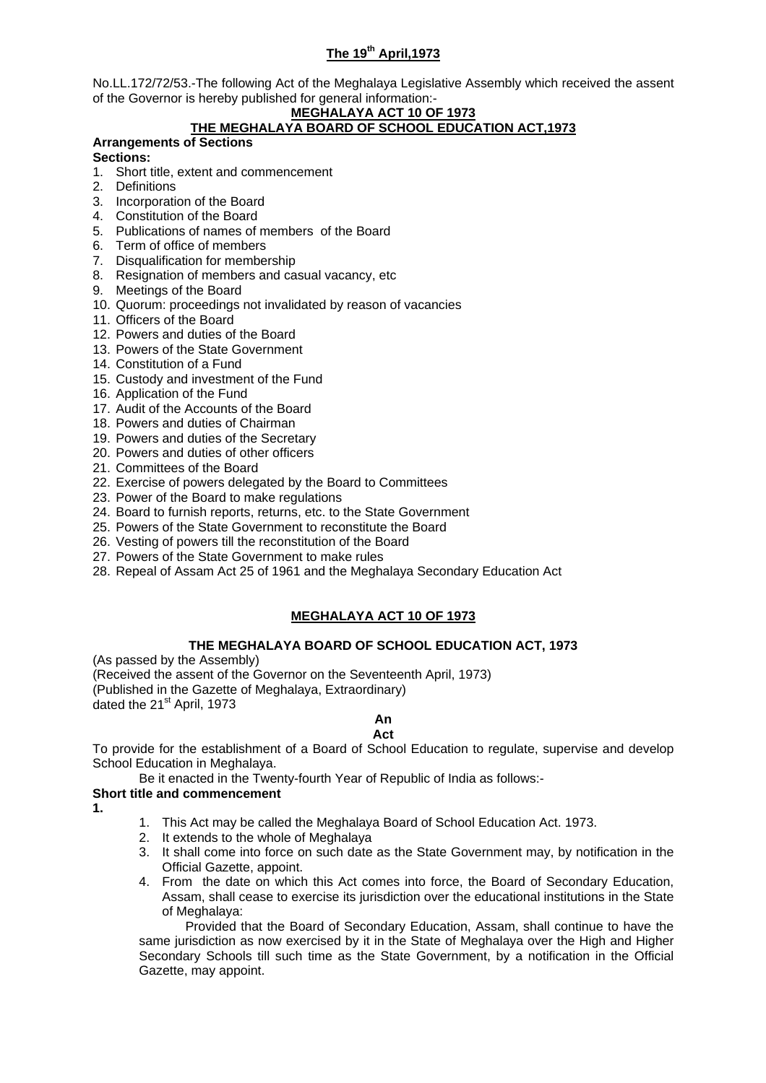# **The 19th April,1973**

No.LL.172/72/53.-The following Act of the Meghalaya Legislative Assembly which received the assent of the Governor is hereby published for general information:-

# **MEGHALAYA ACT 10 OF 1973**

# **THE MEGHALAYA BOARD OF SCHOOL EDUCATION ACT,1973**

**Arrangements of Sections** 

### **Sections:**

- 1. Short title, extent and commencement
- 2. Definitions
- 3. Incorporation of the Board
- 4. Constitution of the Board
- 5. Publications of names of members of the Board
- 6. Term of office of members
- 7. Disqualification for membership
- 8. Resignation of members and casual vacancy, etc
- 9. Meetings of the Board
- 10. Quorum: proceedings not invalidated by reason of vacancies
- 11. Officers of the Board
- 12. Powers and duties of the Board
- 13. Powers of the State Government
- 14. Constitution of a Fund
- 15. Custody and investment of the Fund
- 16. Application of the Fund
- 17. Audit of the Accounts of the Board
- 18. Powers and duties of Chairman
- 19. Powers and duties of the Secretary
- 20. Powers and duties of other officers
- 21. Committees of the Board
- 22. Exercise of powers delegated by the Board to Committees
- 23. Power of the Board to make regulations
- 24. Board to furnish reports, returns, etc. to the State Government
- 25. Powers of the State Government to reconstitute the Board
- 26. Vesting of powers till the reconstitution of the Board
- 27. Powers of the State Government to make rules
- 28. Repeal of Assam Act 25 of 1961 and the Meghalaya Secondary Education Act

# **MEGHALAYA ACT 10 OF 1973**

### **THE MEGHALAYA BOARD OF SCHOOL EDUCATION ACT, 1973**

(As passed by the Assembly) (Received the assent of the Governor on the Seventeenth April, 1973) (Published in the Gazette of Meghalaya, Extraordinary) dated the 21<sup>st</sup> April, 1973

#### **An Act**

To provide for the establishment of a Board of School Education to regulate, supervise and develop School Education in Meghalaya.

Be it enacted in the Twenty-fourth Year of Republic of India as follows:-

### **Short title and commencement**

- **1.**
- 1. This Act may be called the Meghalaya Board of School Education Act. 1973.
- 2. It extends to the whole of Meghalaya
- 3. It shall come into force on such date as the State Government may, by notification in the Official Gazette, appoint.
- 4. From the date on which this Act comes into force, the Board of Secondary Education, Assam, shall cease to exercise its jurisdiction over the educational institutions in the State of Meghalaya:

Provided that the Board of Secondary Education, Assam, shall continue to have the same jurisdiction as now exercised by it in the State of Meghalaya over the High and Higher Secondary Schools till such time as the State Government, by a notification in the Official Gazette, may appoint.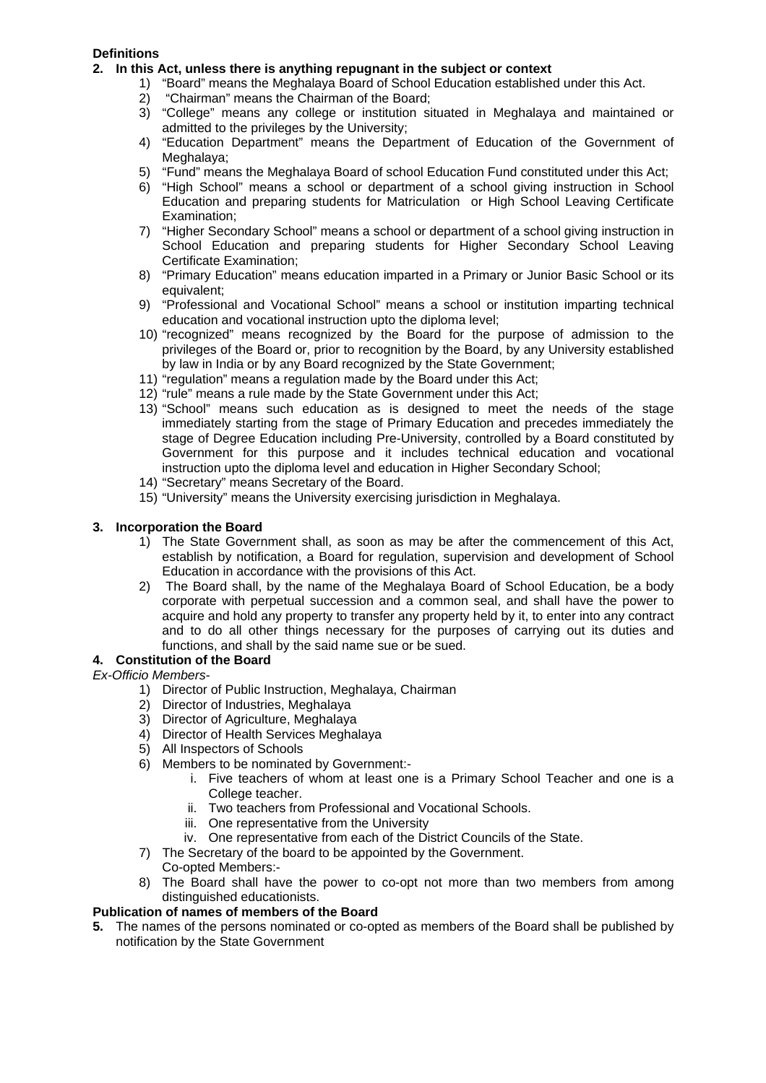## **Definitions**

- **2. In this Act, unless there is anything repugnant in the subject or context** 
	- 1) "Board" means the Meghalaya Board of School Education established under this Act.
	- 2) "Chairman" means the Chairman of the Board;
	- 3) "College" means any college or institution situated in Meghalaya and maintained or admitted to the privileges by the University;
	- 4) "Education Department" means the Department of Education of the Government of Meghalaya;
	- 5) "Fund" means the Meghalaya Board of school Education Fund constituted under this Act;
	- 6) "High School" means a school or department of a school giving instruction in School Education and preparing students for Matriculation or High School Leaving Certificate Examination;
	- 7) "Higher Secondary School" means a school or department of a school giving instruction in School Education and preparing students for Higher Secondary School Leaving Certificate Examination;
	- 8) "Primary Education" means education imparted in a Primary or Junior Basic School or its equivalent;
	- 9) "Professional and Vocational School" means a school or institution imparting technical education and vocational instruction upto the diploma level;
	- 10) "recognized" means recognized by the Board for the purpose of admission to the privileges of the Board or, prior to recognition by the Board, by any University established by law in India or by any Board recognized by the State Government;
	- 11) "regulation" means a regulation made by the Board under this Act;
	- 12) "rule" means a rule made by the State Government under this Act;
	- 13) "School" means such education as is designed to meet the needs of the stage immediately starting from the stage of Primary Education and precedes immediately the stage of Degree Education including Pre-University, controlled by a Board constituted by Government for this purpose and it includes technical education and vocational instruction upto the diploma level and education in Higher Secondary School;
	- 14) "Secretary" means Secretary of the Board.
	- 15) "University" means the University exercising jurisdiction in Meghalaya.

#### **3. Incorporation the Board**

- 1) The State Government shall, as soon as may be after the commencement of this Act, establish by notification, a Board for regulation, supervision and development of School Education in accordance with the provisions of this Act.
- 2) The Board shall, by the name of the Meghalaya Board of School Education, be a body corporate with perpetual succession and a common seal, and shall have the power to acquire and hold any property to transfer any property held by it, to enter into any contract and to do all other things necessary for the purposes of carrying out its duties and functions, and shall by the said name sue or be sued.

### **4. Constitution of the Board**

*Ex-Officio Members*-

- 1) Director of Public Instruction, Meghalaya, Chairman
- 2) Director of Industries, Meghalaya
- 3) Director of Agriculture, Meghalaya
- 4) Director of Health Services Meghalaya
- 5) All Inspectors of Schools
- 6) Members to be nominated by Government:
	- i. Five teachers of whom at least one is a Primary School Teacher and one is a College teacher.
	- ii. Two teachers from Professional and Vocational Schools.
	- iii. One representative from the University
	- iv. One representative from each of the District Councils of the State.
- 7) The Secretary of the board to be appointed by the Government. Co-opted Members:-
- 8) The Board shall have the power to co-opt not more than two members from among distinguished educationists.

#### **Publication of names of members of the Board**

**5.** The names of the persons nominated or co-opted as members of the Board shall be published by notification by the State Government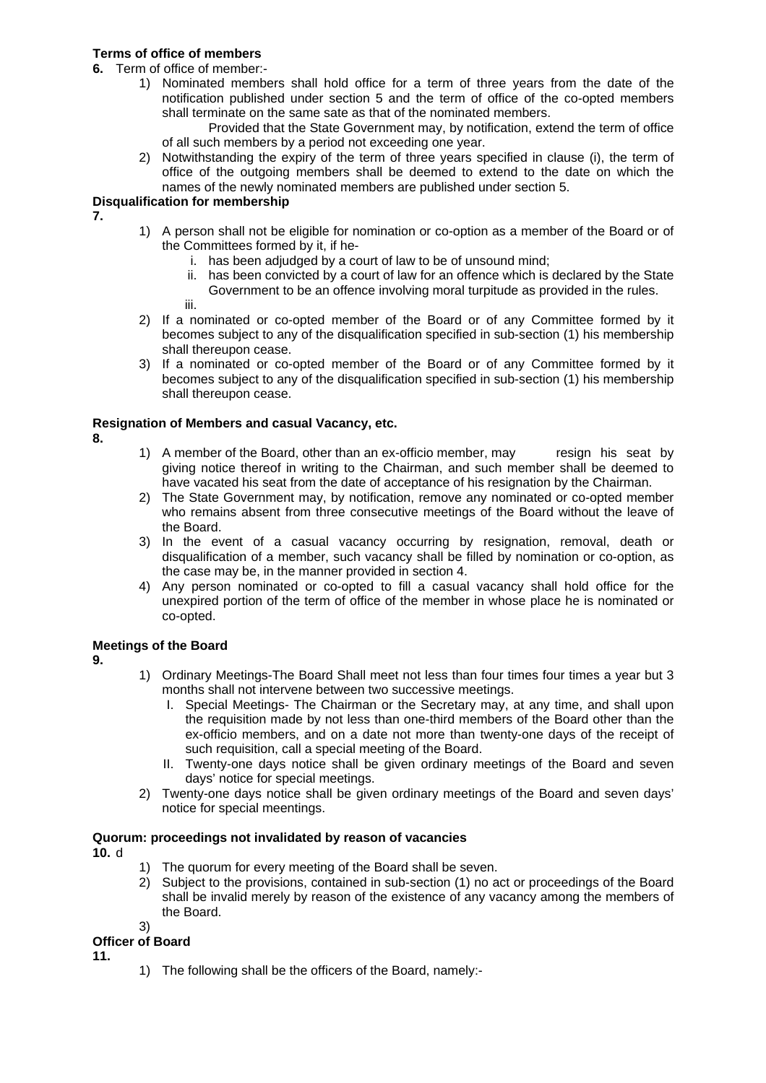# **Terms of office of members**

**6.** Term of office of member:-

- 1) Nominated members shall hold office for a term of three years from the date of the notification published under section 5 and the term of office of the co-opted members shall terminate on the same sate as that of the nominated members.
	- Provided that the State Government may, by notification, extend the term of office of all such members by a period not exceeding one year.
- 2) Notwithstanding the expiry of the term of three years specified in clause (i), the term of office of the outgoing members shall be deemed to extend to the date on which the names of the newly nominated members are published under section 5.

#### **Disqualification for membership**

**7.**

- 1) A person shall not be eligible for nomination or co-option as a member of the Board or of the Committees formed by it, if he
	- i. has been adjudged by a court of law to be of unsound mind;
	- ii. has been convicted by a court of law for an offence which is declared by the State Government to be an offence involving moral turpitude as provided in the rules.

iii.

- 2) If a nominated or co-opted member of the Board or of any Committee formed by it becomes subject to any of the disqualification specified in sub-section (1) his membership shall thereupon cease.
- 3) If a nominated or co-opted member of the Board or of any Committee formed by it becomes subject to any of the disqualification specified in sub-section (1) his membership shall thereupon cease.

### **Resignation of Members and casual Vacancy, etc.**

**8.**

- 1) A member of the Board, other than an ex-officio member, may resign his seat by giving notice thereof in writing to the Chairman, and such member shall be deemed to have vacated his seat from the date of acceptance of his resignation by the Chairman.
- 2) The State Government may, by notification, remove any nominated or co-opted member who remains absent from three consecutive meetings of the Board without the leave of the Board.
- 3) In the event of a casual vacancy occurring by resignation, removal, death or disqualification of a member, such vacancy shall be filled by nomination or co-option, as the case may be, in the manner provided in section 4.
- 4) Any person nominated or co-opted to fill a casual vacancy shall hold office for the unexpired portion of the term of office of the member in whose place he is nominated or co-opted.

### **Meetings of the Board**

**9.**

- 1) Ordinary Meetings-The Board Shall meet not less than four times four times a year but 3 months shall not intervene between two successive meetings.
	- I. Special Meetings- The Chairman or the Secretary may, at any time, and shall upon the requisition made by not less than one-third members of the Board other than the ex-officio members, and on a date not more than twenty-one days of the receipt of such requisition, call a special meeting of the Board.
	- II. Twenty-one days notice shall be given ordinary meetings of the Board and seven days' notice for special meetings.
- 2) Twenty-one days notice shall be given ordinary meetings of the Board and seven days' notice for special meentings.

### **Quorum: proceedings not invalidated by reason of vacancies**

**10.** d

- 1) The quorum for every meeting of the Board shall be seven.
- 2) Subject to the provisions, contained in sub-section (1) no act or proceedings of the Board shall be invalid merely by reason of the existence of any vacancy among the members of the Board.

#### 3) **Officer of Board**

**11.**

1) The following shall be the officers of the Board, namely:-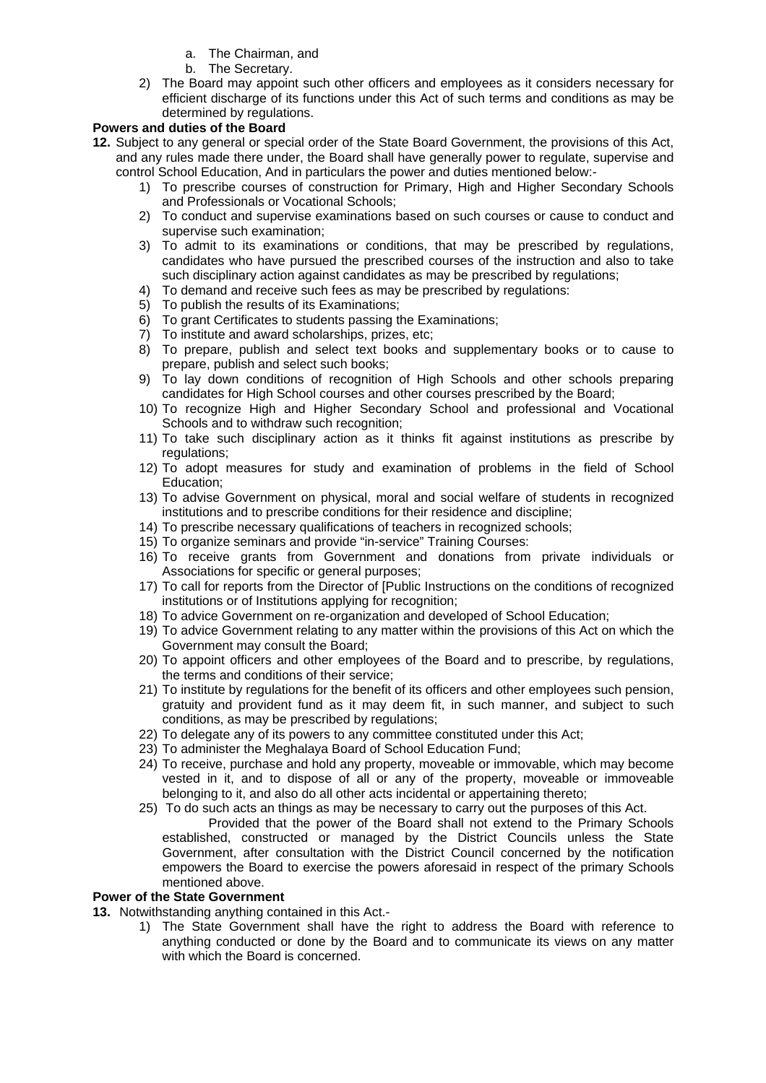- a. The Chairman, and
- b. The Secretary.
- 2) The Board may appoint such other officers and employees as it considers necessary for efficient discharge of its functions under this Act of such terms and conditions as may be determined by regulations.

### **Powers and duties of the Board**

- **12.** Subject to any general or special order of the State Board Government, the provisions of this Act, and any rules made there under, the Board shall have generally power to regulate, supervise and control School Education, And in particulars the power and duties mentioned below:-
	- 1) To prescribe courses of construction for Primary, High and Higher Secondary Schools and Professionals or Vocational Schools;
	- 2) To conduct and supervise examinations based on such courses or cause to conduct and supervise such examination;
	- 3) To admit to its examinations or conditions, that may be prescribed by regulations, candidates who have pursued the prescribed courses of the instruction and also to take such disciplinary action against candidates as may be prescribed by regulations;
	- 4) To demand and receive such fees as may be prescribed by regulations:
	- 5) To publish the results of its Examinations;
	- 6) To grant Certificates to students passing the Examinations;
	- 7) To institute and award scholarships, prizes, etc;
	- 8) To prepare, publish and select text books and supplementary books or to cause to prepare, publish and select such books;
	- 9) To lay down conditions of recognition of High Schools and other schools preparing candidates for High School courses and other courses prescribed by the Board;
	- 10) To recognize High and Higher Secondary School and professional and Vocational Schools and to withdraw such recognition;
	- 11) To take such disciplinary action as it thinks fit against institutions as prescribe by regulations;
	- 12) To adopt measures for study and examination of problems in the field of School Education;
	- 13) To advise Government on physical, moral and social welfare of students in recognized institutions and to prescribe conditions for their residence and discipline;
	- 14) To prescribe necessary qualifications of teachers in recognized schools;
	- 15) To organize seminars and provide "in-service" Training Courses:
	- 16) To receive grants from Government and donations from private individuals or Associations for specific or general purposes;
	- 17) To call for reports from the Director of [Public Instructions on the conditions of recognized institutions or of Institutions applying for recognition;
	- 18) To advice Government on re-organization and developed of School Education;
	- 19) To advice Government relating to any matter within the provisions of this Act on which the Government may consult the Board;
	- 20) To appoint officers and other employees of the Board and to prescribe, by regulations, the terms and conditions of their service;
	- 21) To institute by regulations for the benefit of its officers and other employees such pension, gratuity and provident fund as it may deem fit, in such manner, and subject to such conditions, as may be prescribed by regulations;
	- 22) To delegate any of its powers to any committee constituted under this Act;
	- 23) To administer the Meghalaya Board of School Education Fund;
	- 24) To receive, purchase and hold any property, moveable or immovable, which may become vested in it, and to dispose of all or any of the property, moveable or immoveable belonging to it, and also do all other acts incidental or appertaining thereto;
	- 25) To do such acts an things as may be necessary to carry out the purposes of this Act. Provided that the power of the Board shall not extend to the Primary Schools established, constructed or managed by the District Councils unless the State Government, after consultation with the District Council concerned by the notification empowers the Board to exercise the powers aforesaid in respect of the primary Schools mentioned above.

### **Power of the State Government**

- **13.** Notwithstanding anything contained in this Act.-
	- 1) The State Government shall have the right to address the Board with reference to anything conducted or done by the Board and to communicate its views on any matter with which the Board is concerned.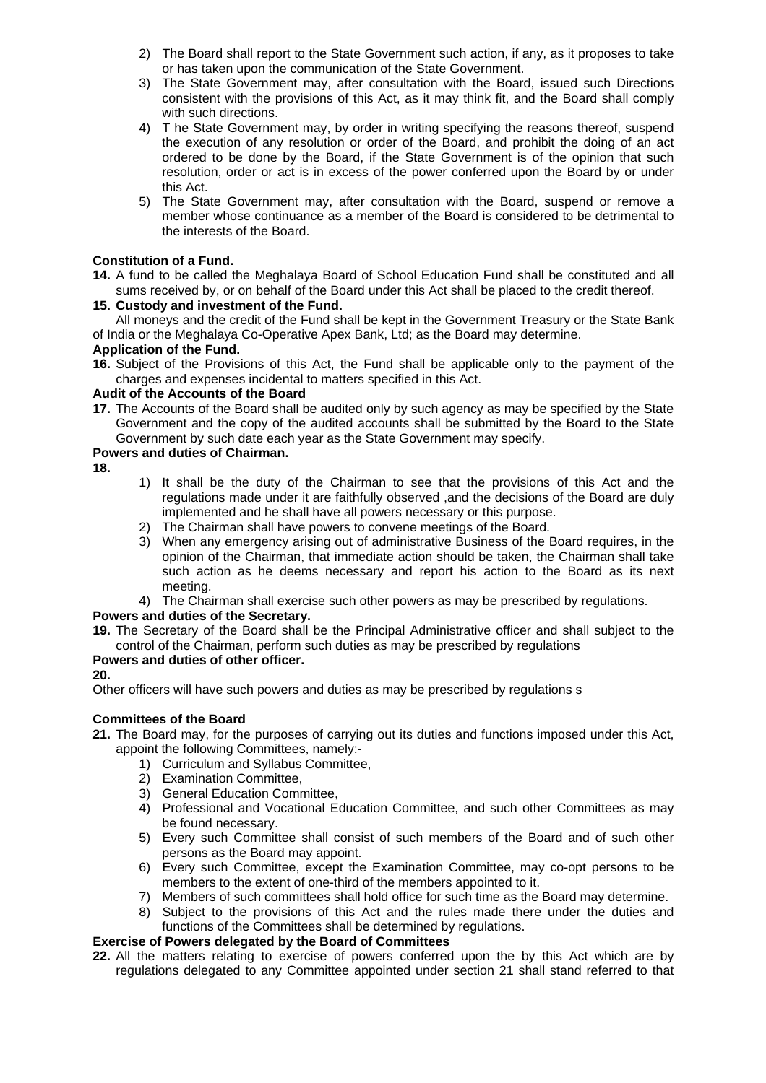- 2) The Board shall report to the State Government such action, if any, as it proposes to take or has taken upon the communication of the State Government.
- 3) The State Government may, after consultation with the Board, issued such Directions consistent with the provisions of this Act, as it may think fit, and the Board shall comply with such directions.
- 4) T he State Government may, by order in writing specifying the reasons thereof, suspend the execution of any resolution or order of the Board, and prohibit the doing of an act ordered to be done by the Board, if the State Government is of the opinion that such resolution, order or act is in excess of the power conferred upon the Board by or under this Act.
- 5) The State Government may, after consultation with the Board, suspend or remove a member whose continuance as a member of the Board is considered to be detrimental to the interests of the Board.

#### **Constitution of a Fund.**

**14.** A fund to be called the Meghalaya Board of School Education Fund shall be constituted and all sums received by, or on behalf of the Board under this Act shall be placed to the credit thereof.

#### **15. Custody and investment of the Fund.**

All moneys and the credit of the Fund shall be kept in the Government Treasury or the State Bank of India or the Meghalaya Co-Operative Apex Bank, Ltd; as the Board may determine.

#### **Application of the Fund.**

**16.** Subject of the Provisions of this Act, the Fund shall be applicable only to the payment of the charges and expenses incidental to matters specified in this Act.

#### **Audit of the Accounts of the Board**

**17.** The Accounts of the Board shall be audited only by such agency as may be specified by the State Government and the copy of the audited accounts shall be submitted by the Board to the State Government by such date each year as the State Government may specify.

#### **Powers and duties of Chairman.**

- **18.**
- 1) It shall be the duty of the Chairman to see that the provisions of this Act and the regulations made under it are faithfully observed ,and the decisions of the Board are duly implemented and he shall have all powers necessary or this purpose.
- 2) The Chairman shall have powers to convene meetings of the Board.
- 3) When any emergency arising out of administrative Business of the Board requires, in the opinion of the Chairman, that immediate action should be taken, the Chairman shall take such action as he deems necessary and report his action to the Board as its next meeting.
- 4) The Chairman shall exercise such other powers as may be prescribed by regulations.

### **Powers and duties of the Secretary.**

**19.** The Secretary of the Board shall be the Principal Administrative officer and shall subject to the control of the Chairman, perform such duties as may be prescribed by regulations

#### **Powers and duties of other officer.**

### **20.**

Other officers will have such powers and duties as may be prescribed by regulations s

### **Committees of the Board**

- **21.** The Board may, for the purposes of carrying out its duties and functions imposed under this Act, appoint the following Committees, namely:-
	- 1) Curriculum and Syllabus Committee,
	- 2) Examination Committee,
	- 3) General Education Committee,
	- 4) Professional and Vocational Education Committee, and such other Committees as may be found necessary.
	- 5) Every such Committee shall consist of such members of the Board and of such other persons as the Board may appoint.
	- 6) Every such Committee, except the Examination Committee, may co-opt persons to be members to the extent of one-third of the members appointed to it.
	- 7) Members of such committees shall hold office for such time as the Board may determine.
	- 8) Subject to the provisions of this Act and the rules made there under the duties and functions of the Committees shall be determined by regulations.

#### **Exercise of Powers delegated by the Board of Committees**

**22.** All the matters relating to exercise of powers conferred upon the by this Act which are by regulations delegated to any Committee appointed under section 21 shall stand referred to that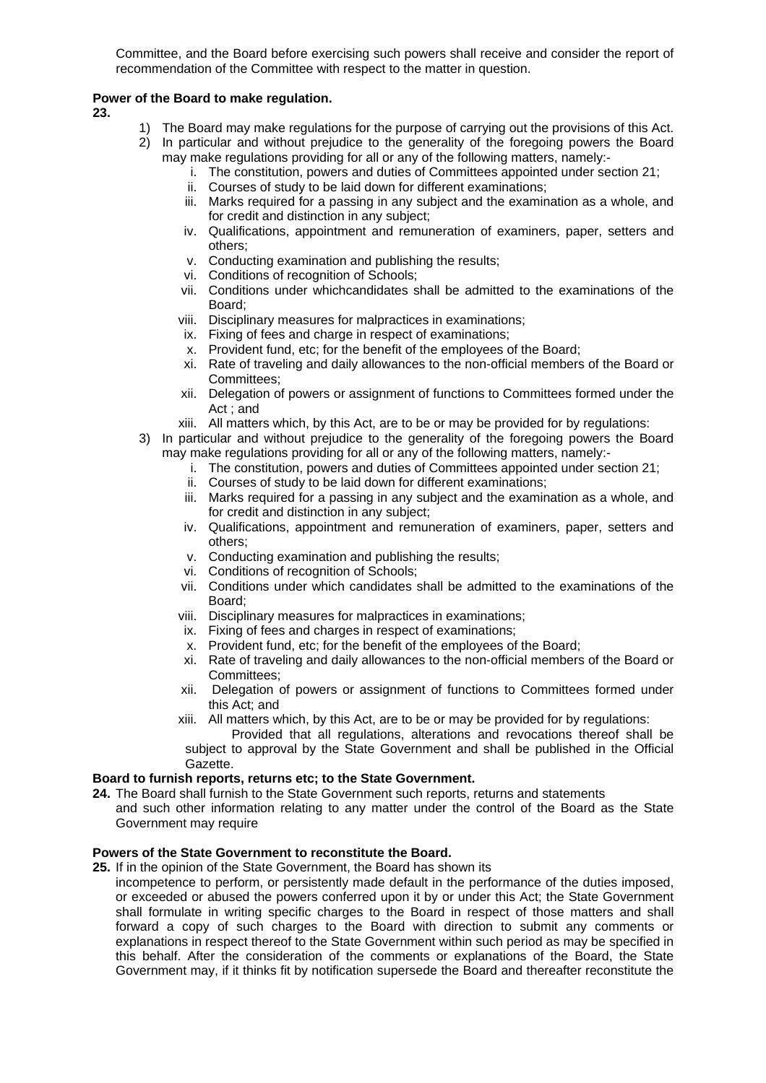Committee, and the Board before exercising such powers shall receive and consider the report of recommendation of the Committee with respect to the matter in question.

#### **Power of the Board to make regulation.**

**23.** 

- 1) The Board may make regulations for the purpose of carrying out the provisions of this Act.
- 2) In particular and without prejudice to the generality of the foregoing powers the Board may make regulations providing for all or any of the following matters, namely:
	- i. The constitution, powers and duties of Committees appointed under section 21;
	- ii. Courses of study to be laid down for different examinations;
	- iii. Marks required for a passing in any subject and the examination as a whole, and for credit and distinction in any subject;
	- iv. Qualifications, appointment and remuneration of examiners, paper, setters and others;
	- v. Conducting examination and publishing the results;
	- vi. Conditions of recognition of Schools;
	- vii. Conditions under whichcandidates shall be admitted to the examinations of the Board;
	- viii. Disciplinary measures for malpractices in examinations;
	- ix. Fixing of fees and charge in respect of examinations;
	- x. Provident fund, etc; for the benefit of the employees of the Board;
	- xi. Rate of traveling and daily allowances to the non-official members of the Board or Committees;
	- xii. Delegation of powers or assignment of functions to Committees formed under the Act ; and
	- xiii. All matters which, by this Act, are to be or may be provided for by regulations:
- 3) In particular and without prejudice to the generality of the foregoing powers the Board may make regulations providing for all or any of the following matters, namely:
	- i. The constitution, powers and duties of Committees appointed under section 21;
	- ii. Courses of study to be laid down for different examinations;
	- iii. Marks required for a passing in any subject and the examination as a whole, and for credit and distinction in any subject;
	- iv. Qualifications, appointment and remuneration of examiners, paper, setters and others;
	- v. Conducting examination and publishing the results;
	- vi. Conditions of recognition of Schools;
	- vii. Conditions under which candidates shall be admitted to the examinations of the Board;
	- viii. Disciplinary measures for malpractices in examinations;
	- ix. Fixing of fees and charges in respect of examinations;
	- x. Provident fund, etc; for the benefit of the employees of the Board;
	- xi. Rate of traveling and daily allowances to the non-official members of the Board or Committees;
	- xii. Delegation of powers or assignment of functions to Committees formed under this Act; and
	- xiii. All matters which, by this Act, are to be or may be provided for by regulations:
	- Provided that all regulations, alterations and revocations thereof shall be subject to approval by the State Government and shall be published in the Official Gazette.

#### **Board to furnish reports, returns etc; to the State Government.**

- **24.** The Board shall furnish to the State Government such reports, returns and statements
- and such other information relating to any matter under the control of the Board as the State Government may require

# **Powers of the State Government to reconstitute the Board.**

- **25.** If in the opinion of the State Government, the Board has shown its
	- incompetence to perform, or persistently made default in the performance of the duties imposed, or exceeded or abused the powers conferred upon it by or under this Act; the State Government shall formulate in writing specific charges to the Board in respect of those matters and shall forward a copy of such charges to the Board with direction to submit any comments or explanations in respect thereof to the State Government within such period as may be specified in this behalf. After the consideration of the comments or explanations of the Board, the State Government may, if it thinks fit by notification supersede the Board and thereafter reconstitute the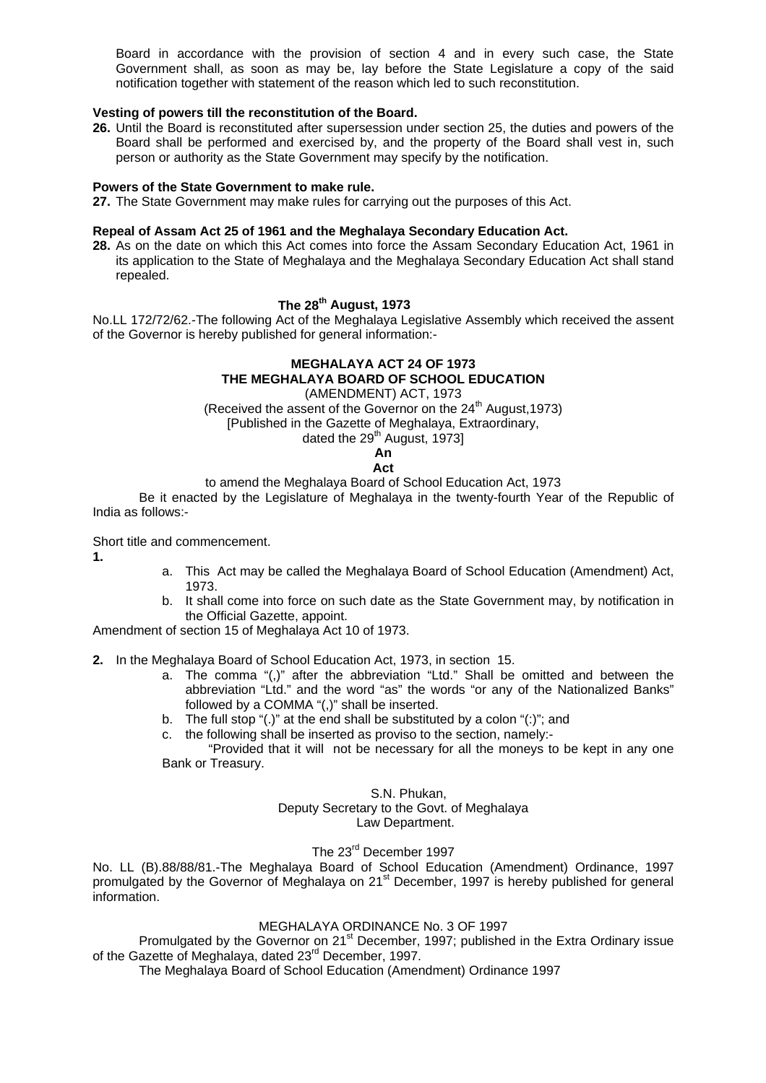Board in accordance with the provision of section 4 and in every such case, the State Government shall, as soon as may be, lay before the State Legislature a copy of the said notification together with statement of the reason which led to such reconstitution.

# **Vesting of powers till the reconstitution of the Board.**

**26.** Until the Board is reconstituted after supersession under section 25, the duties and powers of the Board shall be performed and exercised by, and the property of the Board shall vest in, such person or authority as the State Government may specify by the notification.

#### **Powers of the State Government to make rule.**

**27.** The State Government may make rules for carrying out the purposes of this Act.

#### **Repeal of Assam Act 25 of 1961 and the Meghalaya Secondary Education Act.**

**28.** As on the date on which this Act comes into force the Assam Secondary Education Act, 1961 in its application to the State of Meghalaya and the Meghalaya Secondary Education Act shall stand repealed.

# **The 28th August, 1973**

No.LL 172/72/62.-The following Act of the Meghalaya Legislative Assembly which received the assent of the Governor is hereby published for general information:-

# **MEGHALAYA ACT 24 OF 1973 THE MEGHALAYA BOARD OF SCHOOL EDUCATION**

(AMENDMENT) ACT, 1973 (Received the assent of the Governor on the  $24<sup>th</sup>$  August, 1973) [Published in the Gazette of Meghalaya, Extraordinary,

dated the 29<sup>th</sup> August, 1973]

#### **An Act**

to amend the Meghalaya Board of School Education Act, 1973

 Be it enacted by the Legislature of Meghalaya in the twenty-fourth Year of the Republic of India as follows:-

Short title and commencement.

**1.**

- a. This Act may be called the Meghalaya Board of School Education (Amendment) Act, 1973.
- b. It shall come into force on such date as the State Government may, by notification in the Official Gazette, appoint.

Amendment of section 15 of Meghalaya Act 10 of 1973.

**2.** In the Meghalaya Board of School Education Act, 1973, in section 15.

- a. The comma "(,)" after the abbreviation "Ltd." Shall be omitted and between the abbreviation "Ltd." and the word "as" the words "or any of the Nationalized Banks" followed by a COMMA "(,)" shall be inserted.
- b. The full stop "(.)" at the end shall be substituted by a colon "(:)"; and
- c. the following shall be inserted as proviso to the section, namely:-

"Provided that it will not be necessary for all the moneys to be kept in any one Bank or Treasury.

#### S.N. Phukan,

Deputy Secretary to the Govt. of Meghalaya

Law Department.

# The 23rd December 1997

No. LL (B).88/88/81.-The Meghalaya Board of School Education (Amendment) Ordinance, 1997 promulgated by the Governor of Meghalaya on 21<sup>st</sup> December, 1997 is hereby published for general information.

#### MEGHALAYA ORDINANCE No. 3 OF 1997

Promulgated by the Governor on 21<sup>st</sup> December, 1997; published in the Extra Ordinary issue of the Gazette of Meghalaya, dated 23<sup>rd</sup> December, 1997.

The Meghalaya Board of School Education (Amendment) Ordinance 1997